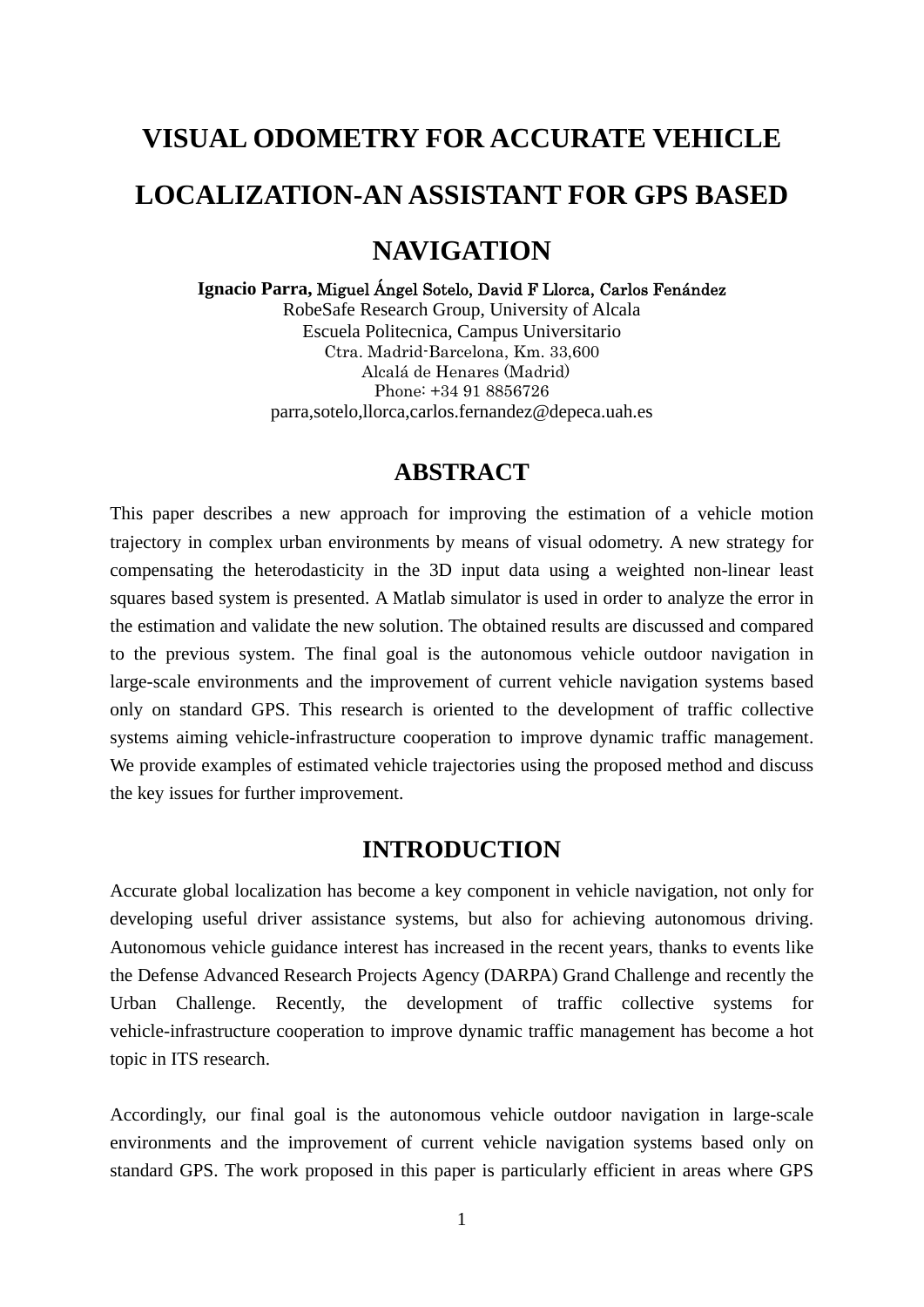# **VISUAL ODOMETRY FOR ACCURATE VEHICLE LOCALIZATION-AN ASSISTANT FOR GPS BASED NAVIGATION**

#### **Ignacio Parra,** Miguel Ángel Sotelo, David F Llorca, Carlos Fenández

RobeSafe Research Group, University of Alcala Escuela Politecnica, Campus Universitario Ctra. Madrid-Barcelona, Km. 33,600 Alcalá de Henares (Madrid) Phone: +34 91 8856726 parra,sotelo,llorca,carlos.fernandez@depeca.uah.es

## **ABSTRACT**

This paper describes a new approach for improving the estimation of a vehicle motion trajectory in complex urban environments by means of visual odometry. A new strategy for compensating the heterodasticity in the 3D input data using a weighted non-linear least squares based system is presented. A Matlab simulator is used in order to analyze the error in the estimation and validate the new solution. The obtained results are discussed and compared to the previous system. The final goal is the autonomous vehicle outdoor navigation in large-scale environments and the improvement of current vehicle navigation systems based only on standard GPS. This research is oriented to the development of traffic collective systems aiming vehicle-infrastructure cooperation to improve dynamic traffic management. We provide examples of estimated vehicle trajectories using the proposed method and discuss the key issues for further improvement.

# **INTRODUCTION**

Accurate global localization has become a key component in vehicle navigation, not only for developing useful driver assistance systems, but also for achieving autonomous driving. Autonomous vehicle guidance interest has increased in the recent years, thanks to events like the Defense Advanced Research Projects Agency (DARPA) Grand Challenge and recently the Urban Challenge. Recently, the development of traffic collective systems for vehicle-infrastructure cooperation to improve dynamic traffic management has become a hot topic in ITS research.

Accordingly, our final goal is the autonomous vehicle outdoor navigation in large-scale environments and the improvement of current vehicle navigation systems based only on standard GPS. The work proposed in this paper is particularly efficient in areas where GPS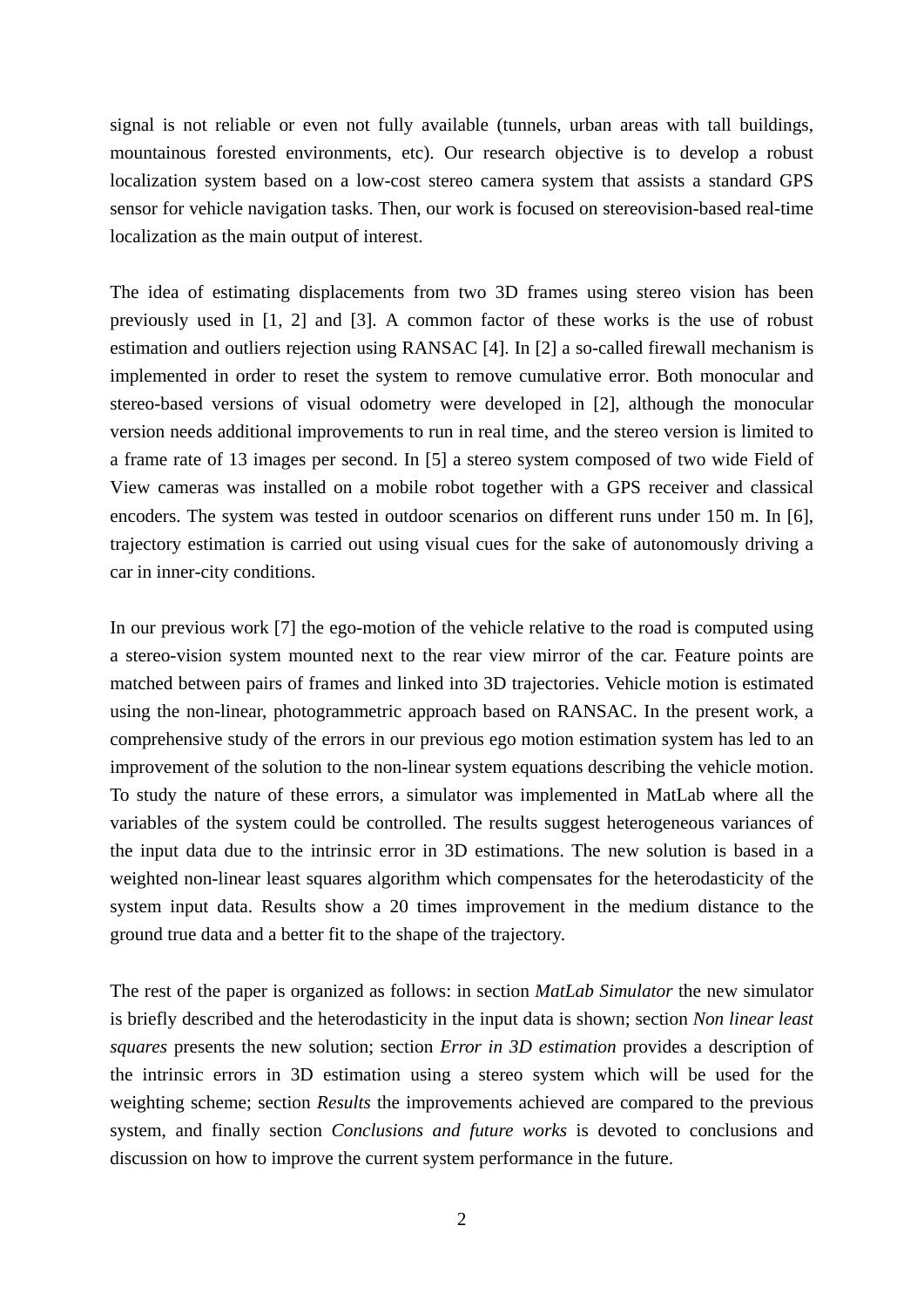signal is not reliable or even not fully available (tunnels, urban areas with tall buildings, mountainous forested environments, etc). Our research objective is to develop a robust localization system based on a low-cost stereo camera system that assists a standard GPS sensor for vehicle navigation tasks. Then, our work is focused on stereovision-based real-time localization as the main output of interest.

The idea of estimating displacements from two 3D frames using stereo vision has been previously used in [1, 2] and [3]. A common factor of these works is the use of robust estimation and outliers rejection using RANSAC [4]. In [2] a so-called firewall mechanism is implemented in order to reset the system to remove cumulative error. Both monocular and stereo-based versions of visual odometry were developed in [2], although the monocular version needs additional improvements to run in real time, and the stereo version is limited to a frame rate of 13 images per second. In [5] a stereo system composed of two wide Field of View cameras was installed on a mobile robot together with a GPS receiver and classical encoders. The system was tested in outdoor scenarios on different runs under 150 m. In [6], trajectory estimation is carried out using visual cues for the sake of autonomously driving a car in inner-city conditions.

In our previous work [7] the ego-motion of the vehicle relative to the road is computed using a stereo-vision system mounted next to the rear view mirror of the car. Feature points are matched between pairs of frames and linked into 3D trajectories. Vehicle motion is estimated using the non-linear, photogrammetric approach based on RANSAC. In the present work, a comprehensive study of the errors in our previous ego motion estimation system has led to an improvement of the solution to the non-linear system equations describing the vehicle motion. To study the nature of these errors, a simulator was implemented in MatLab where all the variables of the system could be controlled. The results suggest heterogeneous variances of the input data due to the intrinsic error in 3D estimations. The new solution is based in a weighted non-linear least squares algorithm which compensates for the heterodasticity of the system input data. Results show a 20 times improvement in the medium distance to the ground true data and a better fit to the shape of the trajectory.

The rest of the paper is organized as follows: in section *MatLab Simulator* the new simulator is briefly described and the heterodasticity in the input data is shown; section *Non linear least squares* presents the new solution; section *Error in 3D estimation* provides a description of the intrinsic errors in 3D estimation using a stereo system which will be used for the weighting scheme; section *Results* the improvements achieved are compared to the previous system, and finally section *Conclusions and future works* is devoted to conclusions and discussion on how to improve the current system performance in the future.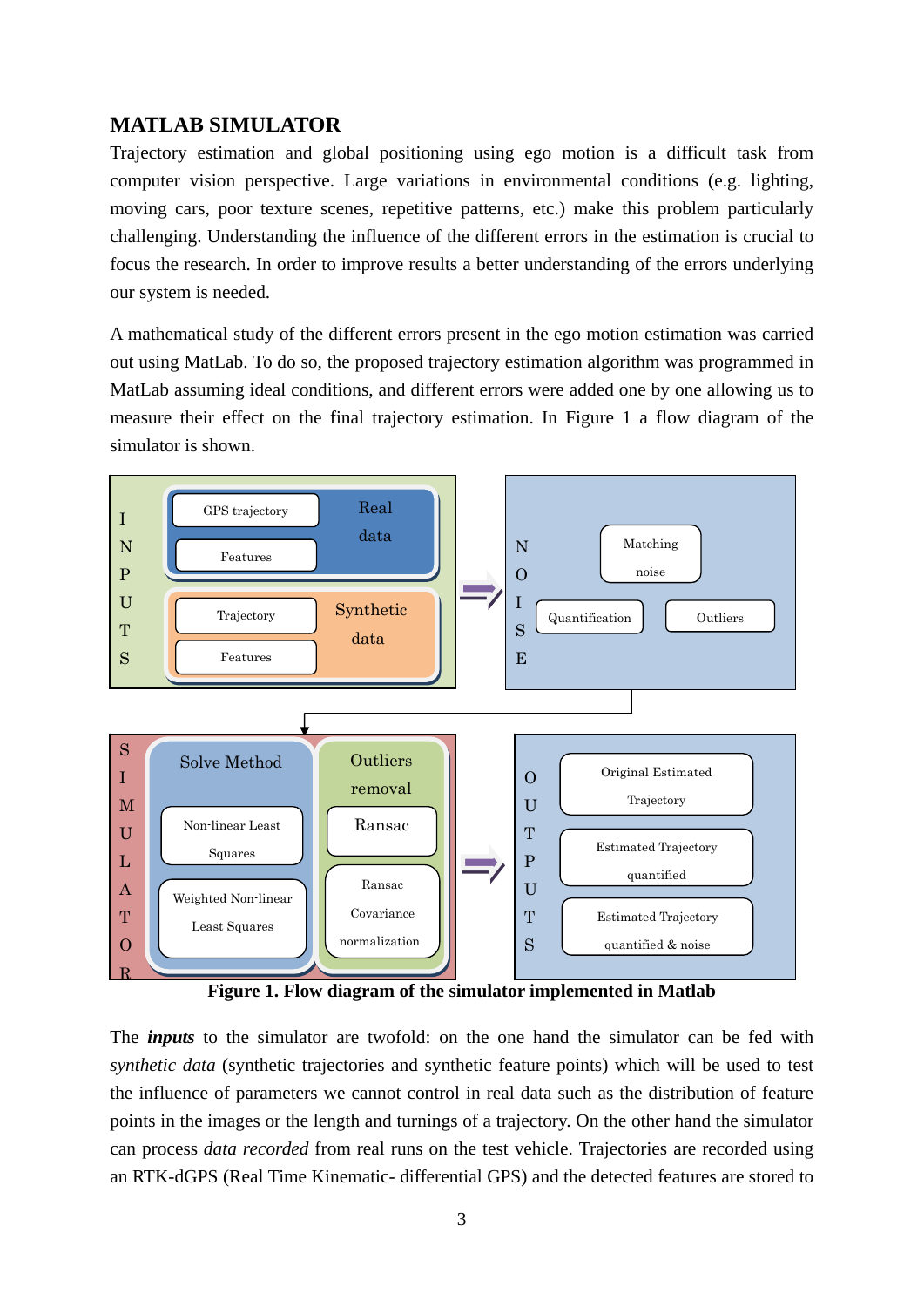## **MATLAB SIMULATOR**

Trajectory estimation and global positioning using ego motion is a difficult task from computer vision perspective. Large variations in environmental conditions (e.g. lighting, moving cars, poor texture scenes, repetitive patterns, etc.) make this problem particularly challenging. Understanding the influence of the different errors in the estimation is crucial to focus the research. In order to improve results a better understanding of the errors underlying our system is needed.

A mathematical study of the different errors present in the ego motion estimation was carried out using MatLab. To do so, the proposed trajectory estimation algorithm was programmed in MatLab assuming ideal conditions, and different errors were added one by one allowing us to measure their effect on the final trajectory estimation. In [Figure](#page-2-0) 1 a flow diagram of the simulator is shown.



**Figure 1. Flow diagram of the simulator implemented in Matlab** 

<span id="page-2-0"></span>The *inputs* to the simulator are twofold: on the one hand the simulator can be fed with *synthetic data* (synthetic trajectories and synthetic feature points) which will be used to test the influence of parameters we cannot control in real data such as the distribution of feature points in the images or the length and turnings of a trajectory. On the other hand the simulator can process *data recorded* from real runs on the test vehicle. Trajectories are recorded using an RTK-dGPS (Real Time Kinematic- differential GPS) and the detected features are stored to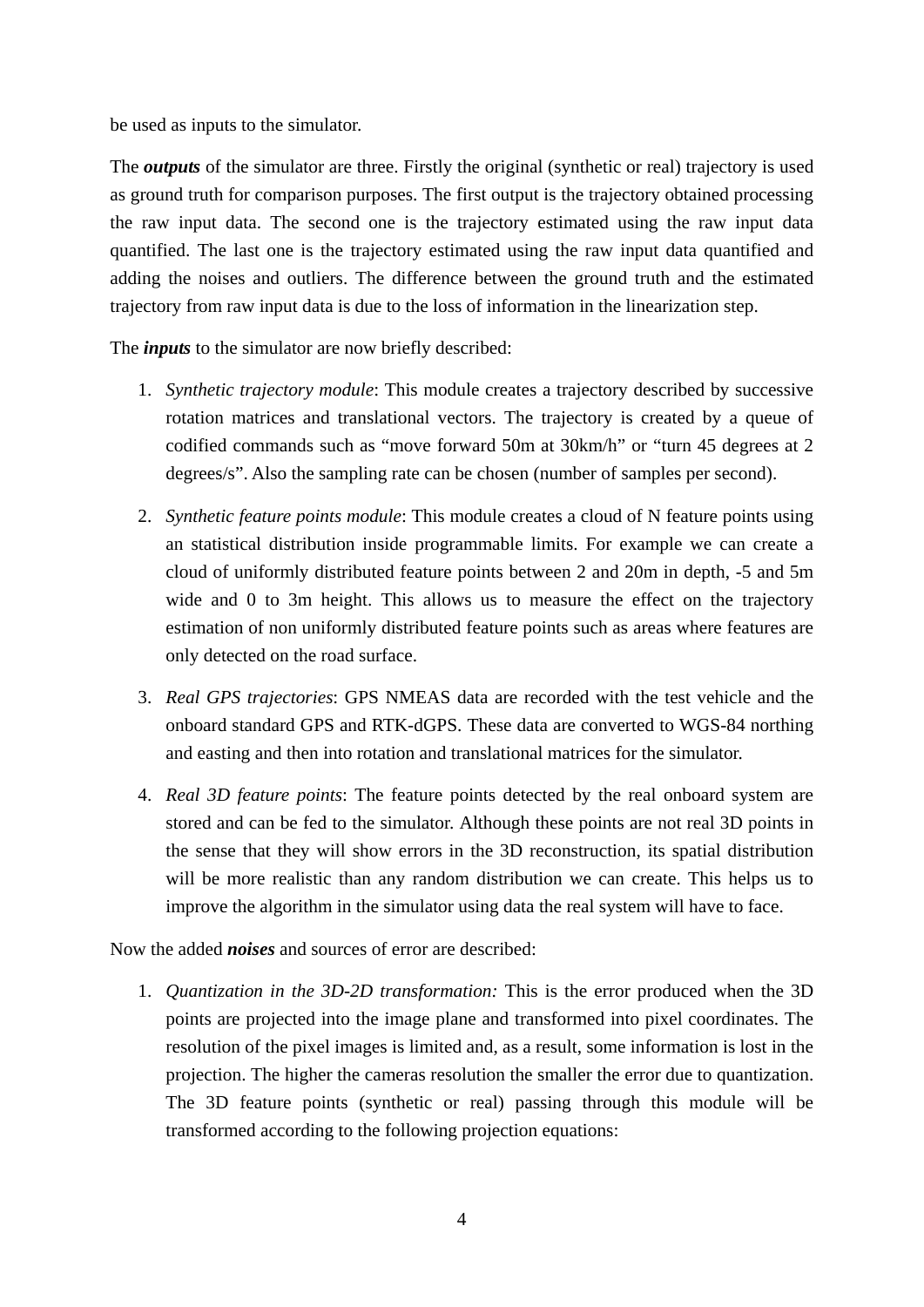be used as inputs to the simulator.

The *outputs* of the simulator are three. Firstly the original (synthetic or real) trajectory is used as ground truth for comparison purposes. The first output is the trajectory obtained processing the raw input data. The second one is the trajectory estimated using the raw input data quantified. The last one is the trajectory estimated using the raw input data quantified and adding the noises and outliers. The difference between the ground truth and the estimated trajectory from raw input data is due to the loss of information in the linearization step.

The *inputs* to the simulator are now briefly described:

- 1. *Synthetic trajectory module*: This module creates a trajectory described by successive rotation matrices and translational vectors. The trajectory is created by a queue of codified commands such as "move forward 50m at 30km/h" or "turn 45 degrees at 2 degrees/s". Also the sampling rate can be chosen (number of samples per second).
- 2. *Synthetic feature points module*: This module creates a cloud of N feature points using an statistical distribution inside programmable limits. For example we can create a cloud of uniformly distributed feature points between 2 and 20m in depth, -5 and 5m wide and 0 to 3m height. This allows us to measure the effect on the trajectory estimation of non uniformly distributed feature points such as areas where features are only detected on the road surface.
- 3. *Real GPS trajectories*: GPS NMEAS data are recorded with the test vehicle and the onboard standard GPS and RTK-dGPS. These data are converted to WGS-84 northing and easting and then into rotation and translational matrices for the simulator.
- 4. *Real 3D feature points*: The feature points detected by the real onboard system are stored and can be fed to the simulator. Although these points are not real 3D points in the sense that they will show errors in the 3D reconstruction, its spatial distribution will be more realistic than any random distribution we can create. This helps us to improve the algorithm in the simulator using data the real system will have to face.

Now the added *noises* and sources of error are described:

1. *Quantization in the 3D-2D transformation:* This is the error produced when the 3D points are projected into the image plane and transformed into pixel coordinates. The resolution of the pixel images is limited and, as a result, some information is lost in the projection. The higher the cameras resolution the smaller the error due to quantization. The 3D feature points (synthetic or real) passing through this module will be transformed according to the following projection equations: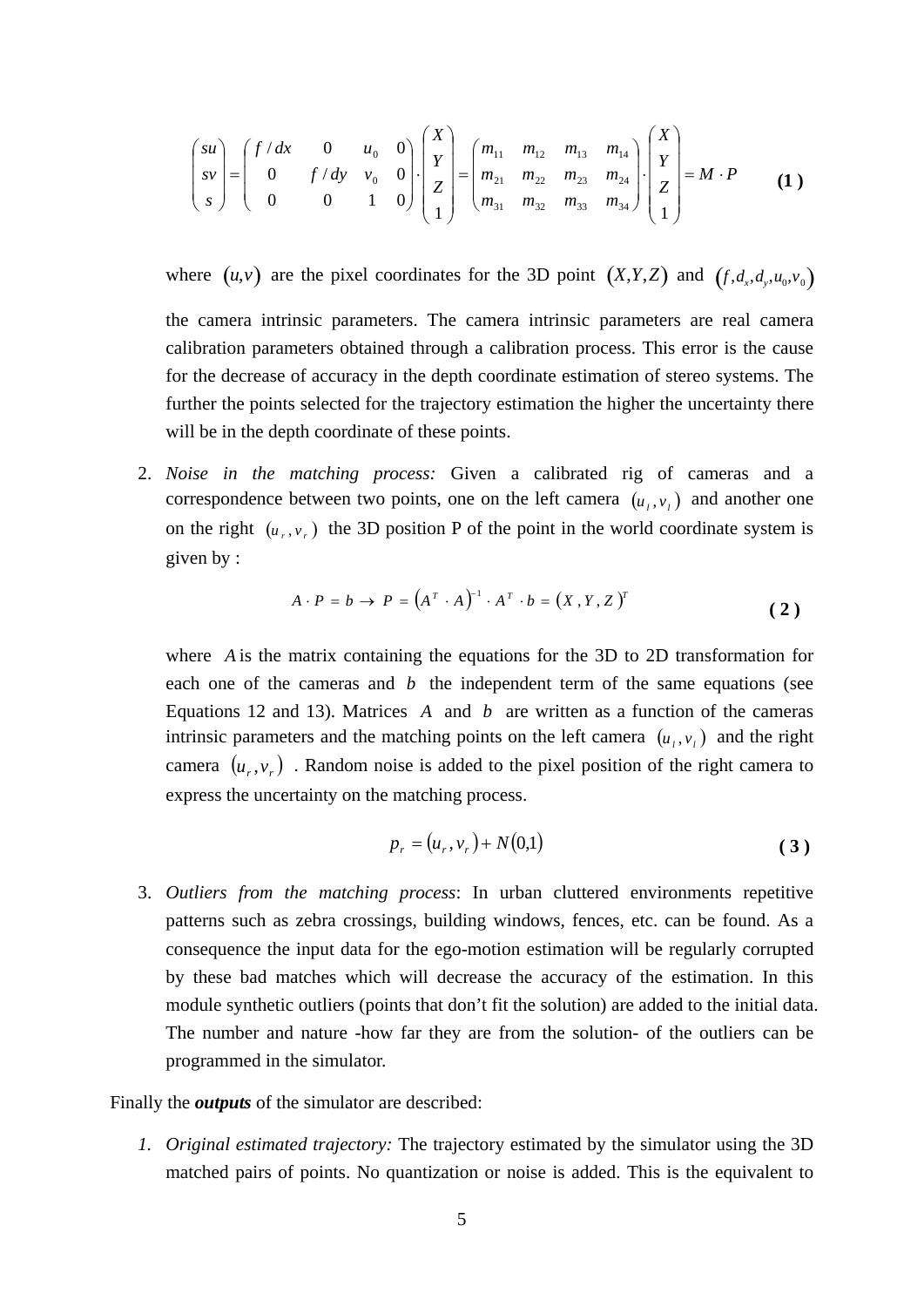$$
\begin{pmatrix} su \\ sv \\ s \end{pmatrix} = \begin{pmatrix} f/dx & 0 & u_0 & 0 \\ 0 & f/dy & v_0 & 0 \\ 0 & 0 & 1 & 0 \end{pmatrix} \cdot \begin{pmatrix} X \\ Y \\ Z \\ Z \\ 1 \end{pmatrix} = \begin{pmatrix} m_{11} & m_{12} & m_{13} & m_{14} \\ m_{21} & m_{22} & m_{23} & m_{24} \\ m_{31} & m_{32} & m_{33} & m_{34} \end{pmatrix} \cdot \begin{pmatrix} X \\ Y \\ Z \\ Z \\ 1 \end{pmatrix} = M \cdot P \tag{1}
$$

where  $(u, v)$  are the pixel coordinates for the 3D point  $(X, Y, Z)$  and  $(f, d_x, d_y, u_0, v_0)$ 

the camera intrinsic parameters. The camera intrinsic parameters are real camera calibration parameters obtained through a calibration process. This error is the cause for the decrease of accuracy in the depth coordinate estimation of stereo systems. The further the points selected for the trajectory estimation the higher the uncertainty there will be in the depth coordinate of these points.

2. *Noise in the matching process:* Given a calibrated rig of cameras and a correspondence between two points, one on the left camera  $(u_1, v_1)$  and another one on the right  $(u_r, v_r)$  the 3D position P of the point in the world coordinate system is given by :

$$
A \cdot P = b \rightarrow P = (A^T \cdot A)^{-1} \cdot A^T \cdot b = (X, Y, Z)^T
$$
 (2)

where *A* is the matrix containing the equations for the 3D to 2D transformation for each one of the cameras and  $b$  the independent term of the same equations (see Equations 12 and 13). Matrices  $\vec{A}$  and  $\vec{b}$  are written as a function of the cameras intrinsic parameters and the matching points on the left camera  $(u_1, v_1)$  and the right camera  $(u_r, v_r)$ . Random noise is added to the pixel position of the right camera to express the uncertainty on the matching process.

$$
p_r = (u_r, v_r) + N(0,1)
$$
 (3)

3. *Outliers from the matching process*: In urban cluttered environments repetitive patterns such as zebra crossings, building windows, fences, etc. can be found. As a consequence the input data for the ego-motion estimation will be regularly corrupted by these bad matches which will decrease the accuracy of the estimation. In this module synthetic outliers (points that don't fit the solution) are added to the initial data. The number and nature -how far they are from the solution- of the outliers can be programmed in the simulator.

Finally the *outputs* of the simulator are described:

*1. Original estimated trajectory:* The trajectory estimated by the simulator using the 3D matched pairs of points. No quantization or noise is added. This is the equivalent to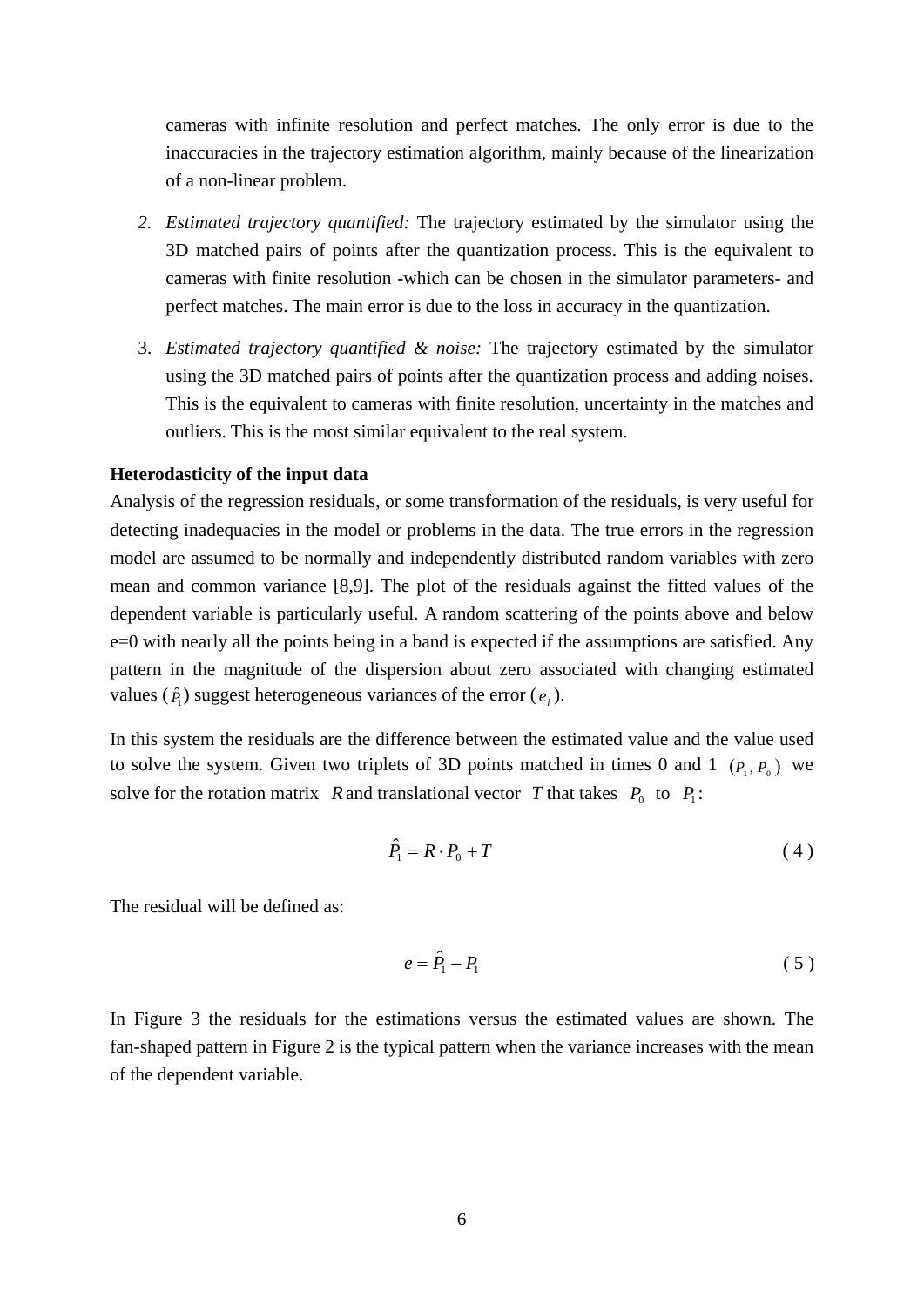cameras with infinite resolution and perfect matches. The only error is due to the inaccuracies in the trajectory estimation algorithm, mainly because of the linearization of a non-linear problem.

- *2. Estimated trajectory quantified:* The trajectory estimated by the simulator using the 3D matched pairs of points after the quantization process. This is the equivalent to cameras with finite resolution -which can be chosen in the simulator parameters- and perfect matches. The main error is due to the loss in accuracy in the quantization.
- 3. *Estimated trajectory quantified & noise:* The trajectory estimated by the simulator using the 3D matched pairs of points after the quantization process and adding noises. This is the equivalent to cameras with finite resolution, uncertainty in the matches and outliers. This is the most similar equivalent to the real system.

#### **Heterodasticity of the input data**

Analysis of the regression residuals, or some transformation of the residuals, is very useful for detecting inadequacies in the model or problems in the data. The true errors in the regression model are assumed to be normally and independently distributed random variables with zero mean and common variance [8,9]. The plot of the residuals against the fitted values of the dependent variable is particularly useful. A random scattering of the points above and below e=0 with nearly all the points being in a band is expected if the assumptions are satisfied. Any pattern in the magnitude of the dispersion about zero associated with changing estimated values ( $\hat{P}$ ) suggest heterogeneous variances of the error ( $e$ <sub>*i*</sub>).

In this system the residuals are the difference between the estimated value and the value used to solve the system. Given two triplets of 3D points matched in times 0 and 1  $(P_1, P_0)$  we solve for the rotation matrix R and translational vector T that takes  $P_0$  to  $P_1$ :

$$
\hat{P}_1 = R \cdot P_0 + T \tag{4}
$$

The residual will be defined as:

$$
e = \hat{P}_1 - P_1 \tag{5}
$$

In [Figure 3](#page-6-0) the residuals for the estimations versus the estimated values are shown. The fan-shaped pattern in [Figure 2](#page-6-0) is the typical pattern when the variance increases with the mean of the dependent variable.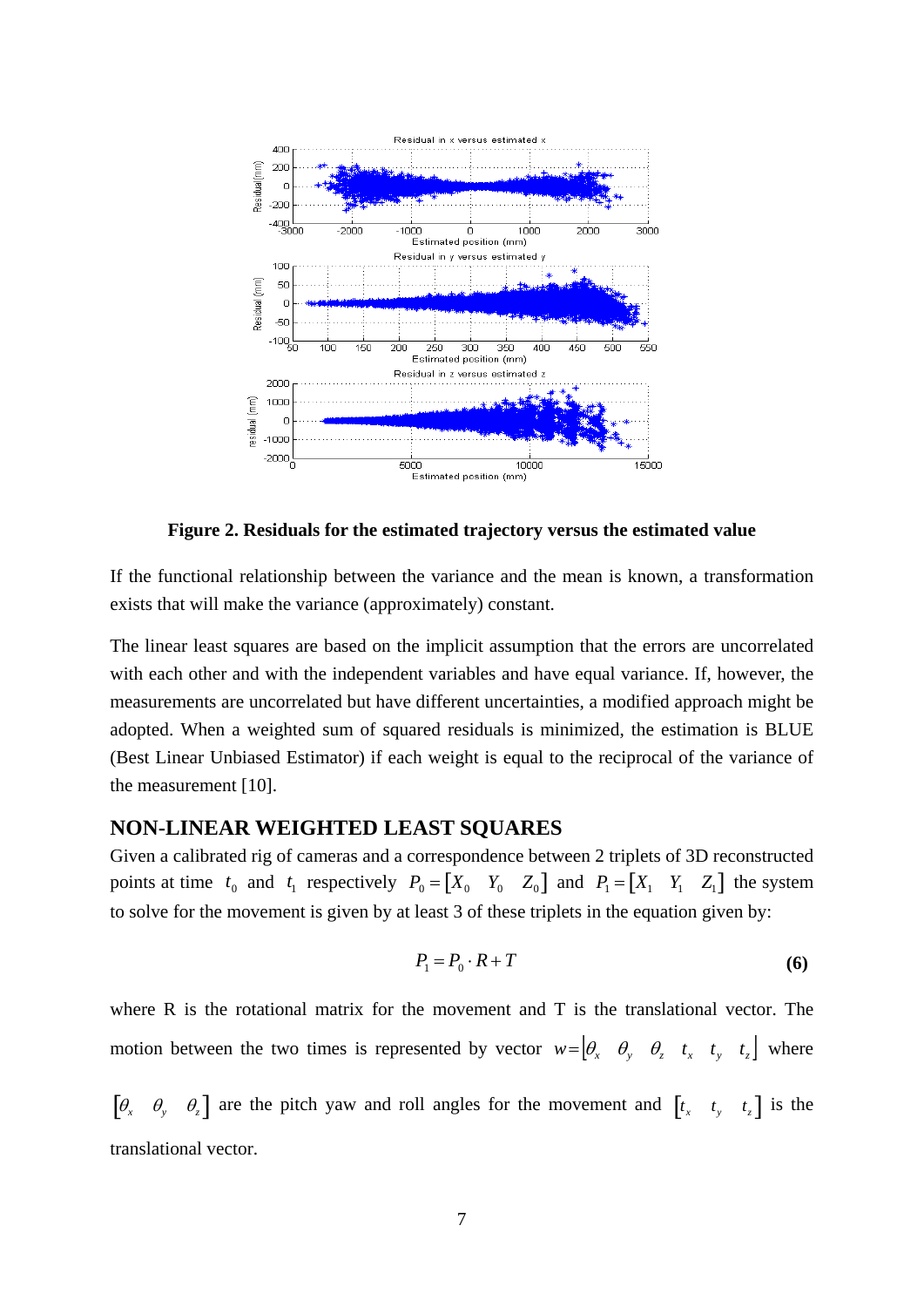

**Figure 2. Residuals for the estimated trajectory versus the estimated value** 

<span id="page-6-0"></span>If the functional relationship between the variance and the mean is known, a transformation exists that will make the variance (approximately) constant.

The linear least squares are based on the implicit assumption that the errors are uncorrelated with each other and with the independent variables and have equal variance. If, however, the measurements are uncorrelated but have different uncertainties, a modified approach might be adopted. When a weighted sum of squared residuals is minimized, the estimation is BLUE (Best Linear Unbiased Estimator) if each weight is equal to the reciprocal of the variance of the measurement [10].

## **NON-LINEAR WEIGHTED LEAST SQUARES**

Given a calibrated rig of cameras and a correspondence between 2 triplets of 3D reconstructed points at time  $t_0$  and  $t_1$  respectively  $P_0 = \begin{bmatrix} X_0 & Y_0 & Z_0 \end{bmatrix}$  and  $P_1 = \begin{bmatrix} X_1 & Y_1 & Z_1 \end{bmatrix}$  the system to solve for the movement is given by at least 3 of these triplets in the equation given by:

$$
P_1 = P_0 \cdot R + T \tag{6}
$$

<span id="page-6-1"></span>where  $R$  is the rotational matrix for the movement and  $T$  is the translational vector. The motion between the two times is represented by vector  $w = \begin{bmatrix} \theta_x & \theta_y & \theta_z & t_x & t_y & t_z \end{bmatrix}$  where

 $\begin{bmatrix} \theta_x & \theta_y & \theta_z \end{bmatrix}$  are the pitch yaw and roll angles for the movement and  $\begin{bmatrix} t_x & t_y & t_z \end{bmatrix}$  is the translational vector.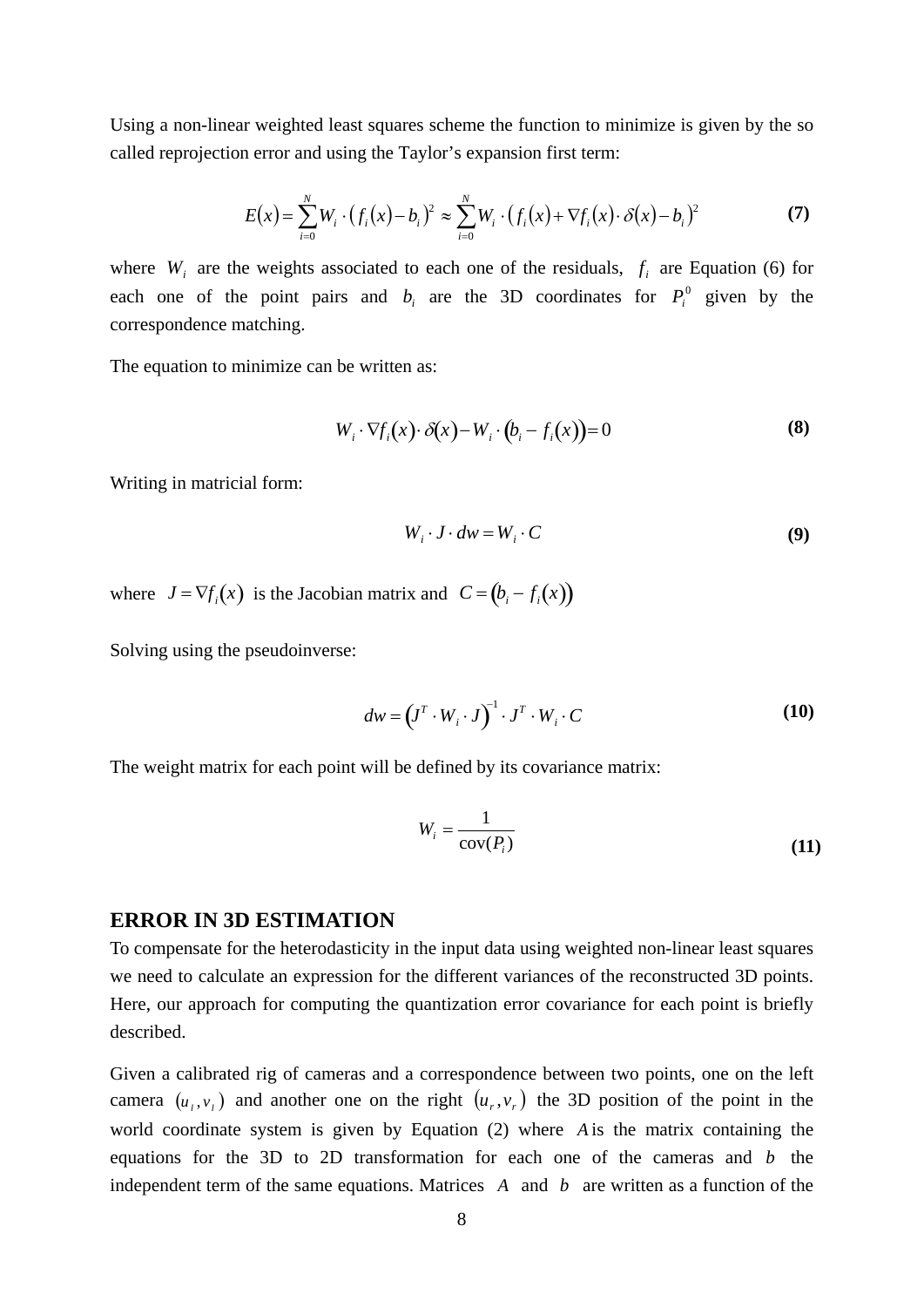Using a non-linear weighted least squares scheme the function to minimize is given by the so called reprojection error and using the Taylor's expansion first term:

$$
E(x) = \sum_{i=0}^{N} W_i \cdot (f_i(x) - b_i)^2 \approx \sum_{i=0}^{N} W_i \cdot (f_i(x) + \nabla f_i(x) \cdot \delta(x) - b_i)^2
$$
 (7)

where  $W_i$  are the weights associated to each one of the residuals,  $f_i$  are Equation [\(6\)](#page-6-1) for each one of the point pairs and  $b_i$  are the 3D coordinates for  $P_i^0$  given by the correspondence matching.

The equation to minimize can be written as:

$$
W_i \cdot \nabla f_i(x) \cdot \delta(x) - W_i \cdot (b_i - f_i(x)) = 0 \tag{8}
$$

Writing in matricial form:

$$
W_i \cdot J \cdot dw = W_i \cdot C \tag{9}
$$

where  $J = \nabla f_i(x)$  is the Jacobian matrix and  $C = (b_i - f_i(x))$ 

Solving using the pseudoinverse:

$$
dw = (J^T \cdot W_i \cdot J)^{-1} \cdot J^T \cdot W_i \cdot C \tag{10}
$$

The weight matrix for each point will be defined by its covariance matrix:

$$
W_i = \frac{1}{\text{cov}(P_i)}\tag{11}
$$

#### **ERROR IN 3D ESTIMATION**

To compensate for the heterodasticity in the input data using weighted non-linear least squares we need to calculate an expression for the different variances of the reconstructed 3D points. Here, our approach for computing the quantization error covariance for each point is briefly described.

Given a calibrated rig of cameras and a correspondence between two points, one on the left camera  $(u_1, v_1)$  and another one on the right  $(u_r, v_r)$  the 3D position of the point in the world coordinate system is given by Equation (2) where *A* is the matrix containing the equations for the 3D to 2D transformation for each one of the cameras and *b* the independent term of the same equations. Matrices *A* and *b* are written as a function of the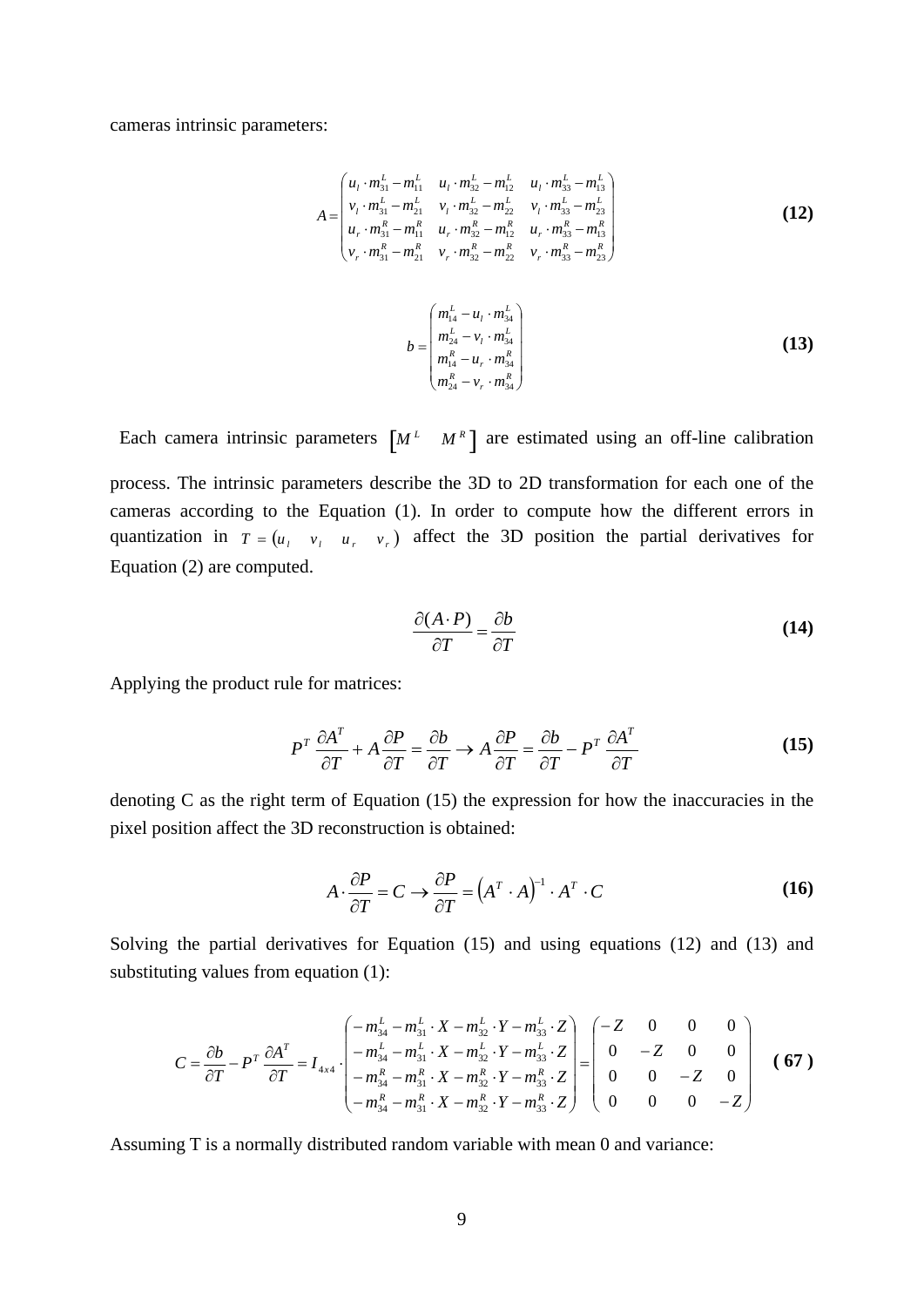<span id="page-8-0"></span>cameras intrinsic parameters:

$$
A = \begin{pmatrix} u_{1} \cdot m_{31}^{L} - m_{11}^{L} & u_{1} \cdot m_{32}^{L} - m_{12}^{L} & u_{1} \cdot m_{33}^{L} - m_{13}^{L} \\ v_{1} \cdot m_{31}^{L} - m_{21}^{L} & v_{1} \cdot m_{32}^{L} - m_{22}^{L} & v_{1} \cdot m_{33}^{L} - m_{23}^{L} \\ u_{r} \cdot m_{31}^{R} - m_{11}^{R} & u_{r} \cdot m_{32}^{R} - m_{12}^{R} & u_{r} \cdot m_{33}^{R} - m_{13}^{R} \\ v_{r} \cdot m_{31}^{R} - m_{21}^{R} & v_{r} \cdot m_{32}^{R} - m_{22}^{R} & v_{r} \cdot m_{33}^{R} - m_{23}^{R} \end{pmatrix}
$$
\n
$$
b = \begin{pmatrix} m_{14}^{L} - u_{1} \cdot m_{34}^{L} \\ m_{24}^{L} - v_{1} \cdot m_{34}^{L} \\ m_{14}^{R} - u_{r} \cdot m_{34}^{R} \\ m_{24}^{R} - v_{r} \cdot m_{34}^{R} \\ m_{24}^{R} - v_{r} \cdot m_{34}^{R} \end{pmatrix}
$$
\n(13)

<span id="page-8-1"></span>Each camera intrinsic parameters  $\begin{bmatrix} M^L & M^R \end{bmatrix}$  are estimated using an off-line calibration process. The intrinsic parameters describe the 3D to 2D transformation for each one of the cameras according to the Equation (1). In order to compute how the different errors in quantization in  $T = (u_1, v_1, u_2, v_3)$  affect the 3D position the partial derivatives for Equation (2) are computed.

$$
\frac{\partial (A \cdot P)}{\partial T} = \frac{\partial b}{\partial T} \tag{14}
$$

Applying the product rule for matrices:

$$
P^T \frac{\partial A^T}{\partial T} + A \frac{\partial P}{\partial T} = \frac{\partial b}{\partial T} \to A \frac{\partial P}{\partial T} = \frac{\partial b}{\partial T} - P^T \frac{\partial A^T}{\partial T}
$$
(15)

denoting C as the right term of Equation (15) the expression for how the inaccuracies in the pixel position affect the 3D reconstruction is obtained:

$$
A \cdot \frac{\partial P}{\partial T} = C \to \frac{\partial P}{\partial T} = (A^T \cdot A)^{-1} \cdot A^T \cdot C \tag{16}
$$

Solving the partial derivatives for Equation (15) and using equations [\(12\)](#page-8-0) and [\(13\)](#page-8-1) and substituting values from equation (1):

$$
C = \frac{\partial b}{\partial T} - P^T \frac{\partial A^T}{\partial T} = I_{4x4} \cdot \begin{pmatrix} -m_{34}^L - m_{31}^L \cdot X - m_{32}^L \cdot Y - m_{33}^L \cdot Z \\ -m_{34}^L - m_{31}^L \cdot X - m_{32}^L \cdot Y - m_{33}^L \cdot Z \\ -m_{34}^R - m_{31}^R \cdot X - m_{32}^R \cdot Y - m_{33}^R \cdot Z \\ -m_{34}^R - m_{31}^R \cdot X - m_{32}^R \cdot Y - m_{33}^R \cdot Z \end{pmatrix} = \begin{pmatrix} -Z & 0 & 0 & 0 \\ 0 & -Z & 0 & 0 \\ 0 & 0 & -Z & 0 \\ 0 & 0 & 0 & -Z \end{pmatrix}
$$
 (67)

Assuming T is a normally distributed random variable with mean 0 and variance: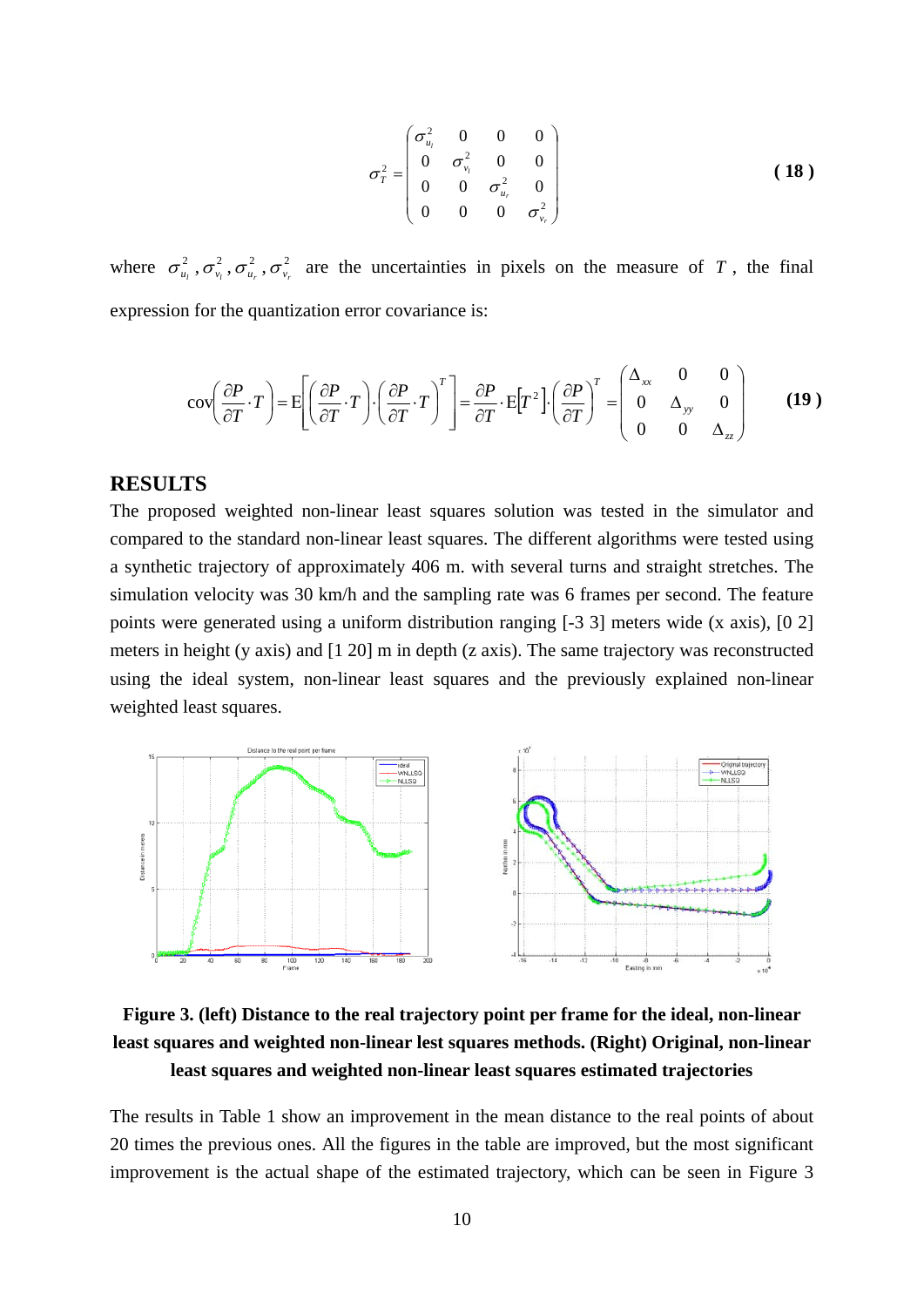$$
\sigma_{T}^{2} = \begin{pmatrix} \sigma_{u_{t}}^{2} & 0 & 0 & 0 \\ 0 & \sigma_{v_{t}}^{2} & 0 & 0 \\ 0 & 0 & \sigma_{u_{r}}^{2} & 0 \\ 0 & 0 & 0 & \sigma_{v_{r}}^{2} \end{pmatrix}
$$
 (18)

where  $\sigma_{u_l}^2$ ,  $\sigma_{v_r}^2$ ,  $\sigma_{u_r}^2$ ,  $\sigma_{v_r}^2$  are the uncertainties in pixels on the measure of T, the final expression for the quantization error covariance is:

$$
\text{cov}\left(\frac{\partial P}{\partial T} \cdot T\right) = \text{E}\left[\left(\frac{\partial P}{\partial T} \cdot T\right) \cdot \left(\frac{\partial P}{\partial T} \cdot T\right)^T\right] = \frac{\partial P}{\partial T} \cdot \text{E}\left[T^2\right] \cdot \left(\frac{\partial P}{\partial T}\right)^T = \begin{pmatrix} \Delta_{xx} & 0 & 0\\ 0 & \Delta_{yy} & 0\\ 0 & 0 & \Delta_{zz} \end{pmatrix} \tag{19}
$$

### **RESULTS**

The proposed weighted non-linear least squares solution was tested in the simulator and compared to the standard non-linear least squares. The different algorithms were tested using a synthetic trajectory of approximately 406 m. with several turns and straight stretches. The simulation velocity was 30 km/h and the sampling rate was 6 frames per second. The feature points were generated using a uniform distribution ranging [-3 3] meters wide (x axis), [0 2] meters in height (y axis) and [1 20] m in depth (z axis). The same trajectory was reconstructed using the ideal system, non-linear least squares and the previously explained non-linear weighted least squares.



**Figure 3. (left) Distance to the real trajectory point per frame for the ideal, non-linear least squares and weighted non-linear lest squares methods. (Right) Original, non-linear least squares and weighted non-linear least squares estimated trajectories** 

The results in [Table 1](#page-10-0) show an improvement in the mean distance to the real points of about 20 times the previous ones. All the figures in the table are improved, but the most significant improvement is the actual shape of the estimated trajectory, which can be seen in Figure 3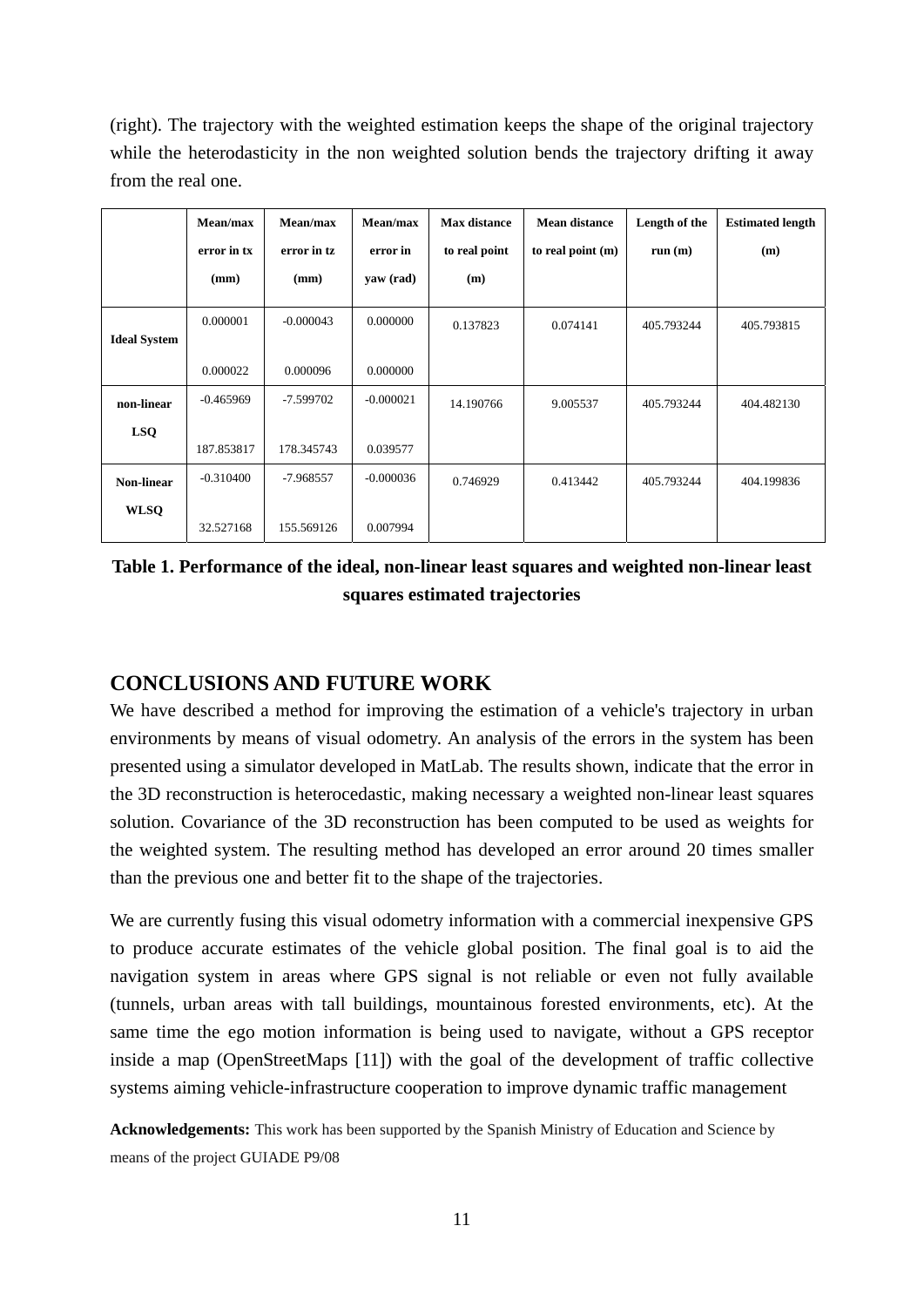(right). The trajectory with the weighted estimation keeps the shape of the original trajectory while the heterodasticity in the non weighted solution bends the trajectory drifting it away from the real one.

|                     | Mean/max    | Mean/max    | Mean/max    | <b>Max distance</b> | <b>Mean distance</b> | Length of the | <b>Estimated length</b> |
|---------------------|-------------|-------------|-------------|---------------------|----------------------|---------------|-------------------------|
|                     | error in tx | error in tz | error in    | to real point       | to real point $(m)$  | run(m)        | (m)                     |
|                     | (mm)        | (mm)        | yaw (rad)   | (m)                 |                      |               |                         |
| <b>Ideal System</b> | 0.000001    | $-0.000043$ | 0.000000    | 0.137823            | 0.074141             | 405.793244    | 405.793815              |
|                     | 0.000022    | 0.000096    | 0.000000    |                     |                      |               |                         |
| non-linear          | $-0.465969$ | -7.599702   | $-0.000021$ | 14.190766           | 9.005537             | 405.793244    | 404.482130              |
| <b>LSQ</b>          | 187.853817  | 178.345743  | 0.039577    |                     |                      |               |                         |
|                     |             |             |             |                     |                      |               |                         |
| Non-linear          | $-0.310400$ | $-7.968557$ | $-0.000036$ | 0.746929            | 0.413442             | 405.793244    | 404.199836              |
| <b>WLSQ</b>         |             |             |             |                     |                      |               |                         |
|                     | 32.527168   | 155.569126  | 0.007994    |                     |                      |               |                         |

<span id="page-10-0"></span>**Table 1. Performance of the ideal, non-linear least squares and weighted non-linear least squares estimated trajectories** 

## **CONCLUSIONS AND FUTURE WORK**

We have described a method for improving the estimation of a vehicle's trajectory in urban environments by means of visual odometry. An analysis of the errors in the system has been presented using a simulator developed in MatLab. The results shown, indicate that the error in the 3D reconstruction is heterocedastic, making necessary a weighted non-linear least squares solution. Covariance of the 3D reconstruction has been computed to be used as weights for the weighted system. The resulting method has developed an error around 20 times smaller than the previous one and better fit to the shape of the trajectories.

We are currently fusing this visual odometry information with a commercial inexpensive GPS to produce accurate estimates of the vehicle global position. The final goal is to aid the navigation system in areas where GPS signal is not reliable or even not fully available (tunnels, urban areas with tall buildings, mountainous forested environments, etc). At the same time the ego motion information is being used to navigate, without a GPS receptor inside a map (OpenStreetMaps [11]) with the goal of the development of traffic collective systems aiming vehicle-infrastructure cooperation to improve dynamic traffic management

**Acknowledgements:** This work has been supported by the Spanish Ministry of Education and Science by means of the project GUIADE P9/08